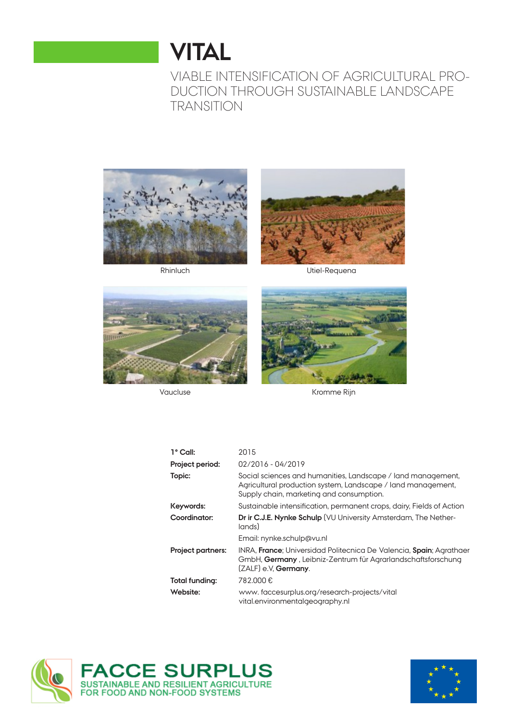# **VITAL**

VIABLE INTENSIFICATION OF AGRICULTURAL PRO-DUCTION THROUGH SUSTAINABLE LANDSCAPE TRANSITION





Rhinluch Utiel-Requena





Vaucluse **Kromme Rijn** 

| $1^{\circ}$ Call:        | 2015                                                                                                                                                                        |
|--------------------------|-----------------------------------------------------------------------------------------------------------------------------------------------------------------------------|
| Project period:          | 02/2016 - 04/2019                                                                                                                                                           |
| Topic:                   | Social sciences and humanities, Landscape / land management,<br>Agricultural production system, Landscape / land management,<br>Supply chain, marketing and consumption.    |
| Keywords:                | Sustainable intensification, permanent crops, dairy, Fields of Action                                                                                                       |
| Coordinator:             | Dr ir C.J.E. Nynke Schulp (VU University Amsterdam, The Nether-<br>lands)                                                                                                   |
|                          | Email: nynke.schulp@vu.nl                                                                                                                                                   |
| <b>Project partners:</b> | INRA, <b>France</b> ; Universidad Politecnica De Valencia, Spain; Agrathaer<br>GmbH, Germany, Leibniz-Zentrum für Agrarlandschaftsforschung<br>(ZALF) e.V. <b>Germany</b> . |
| Total funding:           | 782.000€                                                                                                                                                                    |
| Website:                 | www.faccesurplus.org/research-projects/vital<br>vital.environmentalgeography.nl                                                                                             |